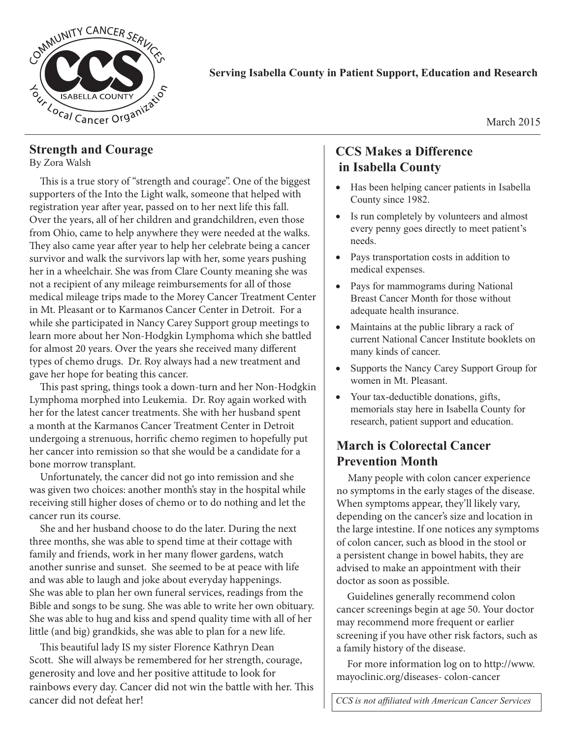

#### **Serving Isabella County in Patient Support, Education and Research**

March 2015

#### **Strength and Courage**

By Zora Walsh

This is a true story of "strength and courage". One of the biggest supporters of the Into the Light walk, someone that helped with registration year after year, passed on to her next life this fall. Over the years, all of her children and grandchildren, even those from Ohio, came to help anywhere they were needed at the walks. They also came year after year to help her celebrate being a cancer survivor and walk the survivors lap with her, some years pushing her in a wheelchair. She was from Clare County meaning she was not a recipient of any mileage reimbursements for all of those medical mileage trips made to the Morey Cancer Treatment Center in Mt. Pleasant or to Karmanos Cancer Center in Detroit. For a while she participated in Nancy Carey Support group meetings to learn more about her Non-Hodgkin Lymphoma which she battled for almost 20 years. Over the years she received many different types of chemo drugs. Dr. Roy always had a new treatment and gave her hope for beating this cancer.

This past spring, things took a down-turn and her Non-Hodgkin Lymphoma morphed into Leukemia. Dr. Roy again worked with her for the latest cancer treatments. She with her husband spent a month at the Karmanos Cancer Treatment Center in Detroit undergoing a strenuous, horrific chemo regimen to hopefully put her cancer into remission so that she would be a candidate for a bone morrow transplant.

Unfortunately, the cancer did not go into remission and she was given two choices: another month's stay in the hospital while receiving still higher doses of chemo or to do nothing and let the cancer run its course.

She and her husband choose to do the later. During the next three months, she was able to spend time at their cottage with family and friends, work in her many flower gardens, watch another sunrise and sunset. She seemed to be at peace with life and was able to laugh and joke about everyday happenings. She was able to plan her own funeral services, readings from the Bible and songs to be sung. She was able to write her own obituary. She was able to hug and kiss and spend quality time with all of her little (and big) grandkids, she was able to plan for a new life.

This beautiful lady IS my sister Florence Kathryn Dean Scott. She will always be remembered for her strength, courage, generosity and love and her positive attitude to look for rainbows every day. Cancer did not win the battle with her. This cancer did not defeat her!

## **CCS Makes a Difference in Isabella County**

- Has been helping cancer patients in Isabella County since 1982.
- Is run completely by volunteers and almost every penny goes directly to meet patient's needs.
- Pays transportation costs in addition to medical expenses.
- Pays for mammograms during National Breast Cancer Month for those without adequate health insurance.
- Maintains at the public library a rack of current National Cancer Institute booklets on many kinds of cancer.
- Supports the Nancy Carey Support Group for women in Mt. Pleasant.
- Your tax-deductible donations, gifts, memorials stay here in Isabella County for research, patient support and education.

## **March is Colorectal Cancer Prevention Month**

Many people with colon cancer experience no symptoms in the early stages of the disease. When symptoms appear, they'll likely vary, depending on the cancer's size and location in the large intestine. If one notices any symptoms of colon cancer, such as blood in the stool or a persistent change in bowel habits, they are advised to make an appointment with their doctor as soon as possible.

Guidelines generally recommend colon cancer screenings begin at age 50. Your doctor may recommend more frequent or earlier screening if you have other risk factors, such as a family history of the disease.

For more information log on to http://www. mayoclinic.org/diseases- colon-cancer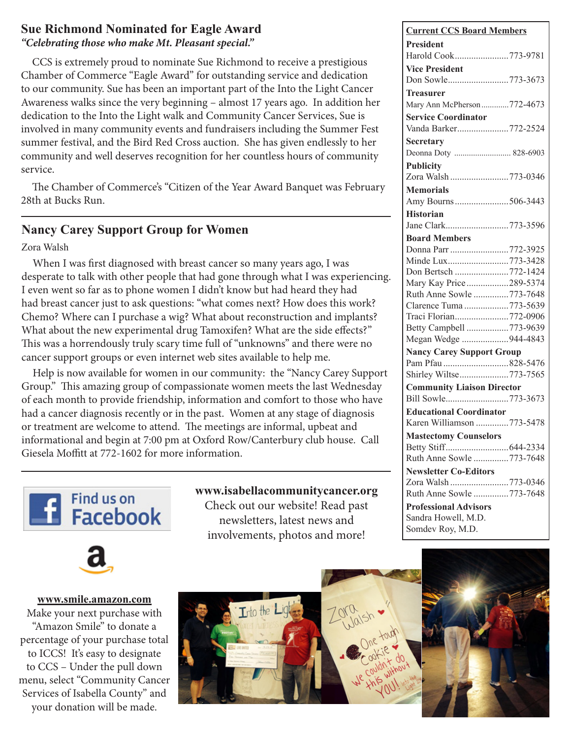#### **Sue Richmond Nominated for Eagle Award** *"Celebrating those who make Mt. Pleasant special."*

CCS is extremely proud to nominate Sue Richmond to receive a prestigious Chamber of Commerce "Eagle Award" for outstanding service and dedication to our community. Sue has been an important part of the Into the Light Cancer Awareness walks since the very beginning – almost 17 years ago. In addition her dedication to the Into the Light walk and Community Cancer Services, Sue is involved in many community events and fundraisers including the Summer Fest summer festival, and the Bird Red Cross auction. She has given endlessly to her community and well deserves recognition for her countless hours of community service.

The Chamber of Commerce's "Citizen of the Year Award Banquet was February 28th at Bucks Run. **Nancy Carey Support Group for Women**

# **Nancy Carey Support Group for Women**

Zora Walsh

When I was first diagnosed with breast cancer so many years ago, I was desperate to talk with other people that had gone through what I was experiencing. I even went so far as to phone women I didn't know but had heard they had had breast cancer just to ask questions: "what comes next? How does this work? Chemo? Where can I purchase a wig? What about reconstruction and implants? What about the new experimental drug Tamoxifen? What are the side effects?" This was a horrendously truly scary time full of "unknowns" and there were no cancer support groups or even internet web sites available to help me.

Help is now available for women in our community: the "Nancy Carey Support Group." This amazing group of compassionate women meets the last Wednesday of each month to provide friendship, information and comfort to those who have had a cancer diagnosis recently or in the past. Women at any stage of diagnosis or treatment are welcome to attend. The meetings are informal, upbeat and informational and begin at 7:00 pm at Oxford Row/Canterbury club house. Call Giesela Moffitt at 772-1602 for more information.





www.smile.amazon.com

**Something Check out our website! Read past**  $\overline{R}$  payaletters letect paya newsletters, latest news and newsletters, latest news and involvements, photos and more! involvements, photos and more! **www.isabellacommunitycancer.org**



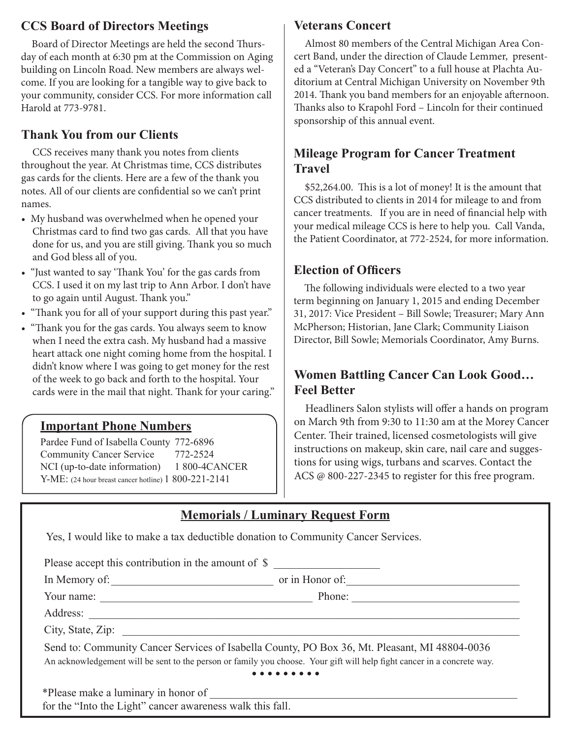## **CCS Board of Directors Meetings**

Board of Director Meetings are held the second Thursday of each month at 6:30 pm at the Commission on Aging building on Lincoln Road. New members are always welcome. If you are looking for a tangible way to give back to your community, consider CCS. For more information call Harold at 773-9781.

## **Thank You from our Clients**

CCS receives many thank you notes from clients throughout the year. At Christmas time, CCS distributes gas cards for the clients. Here are a few of the thank you notes. All of our clients are confidential so we can't print names.

- My husband was overwhelmed when he opened your Christmas card to find two gas cards. All that you have done for us, and you are still giving. Thank you so much and God bless all of you.
- "Just wanted to say 'Thank You' for the gas cards from CCS. I used it on my last trip to Ann Arbor. I don't have to go again until August. Thank you."
- "Thank you for all of your support during this past year."
- "Thank you for the gas cards. You always seem to know when I need the extra cash. My husband had a massive heart attack one night coming home from the hospital. I didn't know where I was going to get money for the rest of the week to go back and forth to the hospital. Your cards were in the mail that night. Thank for your caring."

### **Important Phone Numbers**

Pardee Fund of Isabella County 772-6896 Community Cancer Service 772-2524 NCI (up-to-date information) 1 800-4CANCER Y-ME: (24 hour breast cancer hotline) 1 800-221-2141

#### **Veterans Concert**

Almost 80 members of the Central Michigan Area Concert Band, under the direction of Claude Lemmer, presented a "Veteran's Day Concert" to a full house at Plachta Auditorium at Central Michigan University on November 9th 2014. Thank you band members for an enjoyable afternoon. Thanks also to Krapohl Ford – Lincoln for their continued sponsorship of this annual event.

## **Mileage Program for Cancer Treatment Travel**

\$52,264.00. This is a lot of money! It is the amount that CCS distributed to clients in 2014 for mileage to and from cancer treatments. If you are in need of financial help with your medical mileage CCS is here to help you. Call Vanda, the Patient Coordinator, at 772-2524, for more information.

#### **Election of Officers**

The following individuals were elected to a two year term beginning on January 1, 2015 and ending December 31, 2017: Vice President – Bill Sowle; Treasurer; Mary Ann McPherson; Historian, Jane Clark; Community Liaison Director, Bill Sowle; Memorials Coordinator, Amy Burns.

## **Women Battling Cancer Can Look Good… Feel Better**

Headliners Salon stylists will offer a hands on program on March 9th from 9:30 to 11:30 am at the Morey Cancer Center. Their trained, licensed cosmetologists will give instructions on makeup, skin care, nail care and suggestions for using wigs, turbans and scarves. Contact the ACS @ 800-227-2345 to register for this free program.

| <b>Memorials / Luminary Request Form</b> |  |  |
|------------------------------------------|--|--|
|                                          |  |  |

Yes, I would like to make a tax deductible donation to Community Cancer Services.

Please accept this contribution in the amount of \$

In Memory of:\_\_\_\_\_\_\_\_\_\_\_\_\_\_\_\_\_\_\_\_\_\_\_\_\_\_\_\_\_ or in Honor of:\_\_\_\_\_\_\_\_\_\_\_\_\_\_\_\_\_\_\_\_\_\_\_\_\_\_\_\_\_\_\_

Your name: \_\_\_\_\_\_\_\_\_\_\_\_\_\_\_\_\_\_\_\_\_\_\_\_\_\_\_\_\_\_\_\_\_\_\_\_\_\_ Phone: \_\_\_\_\_\_\_\_\_\_\_\_\_\_\_\_\_\_\_\_\_\_\_\_\_\_\_\_\_\_

Address:

City, State, Zip:

Send to: Community Cancer Services of Isabella County, PO Box 36, Mt. Pleasant, MI 48804-0036 An acknowledgement will be sent to the person or family you choose. Your gift will help fight cancer in a concrete way.  $\bullet\bullet\bullet\bullet\bullet$ 

\*Please make a luminary in honor of \_\_\_\_\_\_\_\_\_\_\_\_\_\_\_\_\_\_\_\_\_\_\_\_\_\_\_\_\_\_\_\_\_\_\_\_\_\_\_\_\_\_\_\_\_\_\_\_\_\_\_\_\_\_\_

for the "Into the Light" cancer awareness walk this fall.